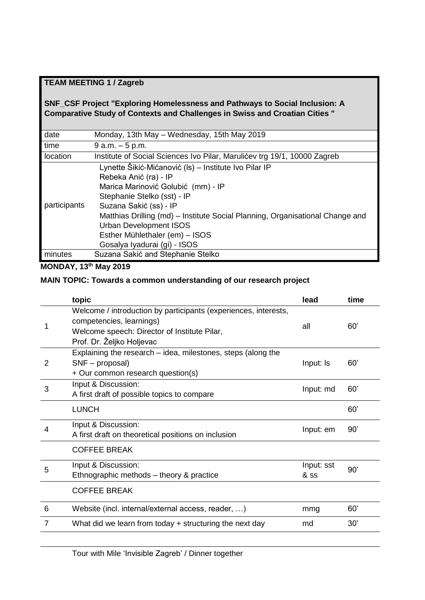# **TEAM MEETING 1 / Zagreb**

## **SNF\_CSF Project "Exploring Homelessness and Pathways to Social Inclusion: A Comparative Study of Contexts and Challenges in Swiss and Croatian Cities "**

| date         | Monday, 13th May - Wednesday, 15th May 2019                                   |
|--------------|-------------------------------------------------------------------------------|
| time         | $9 a.m. - 5 p.m.$                                                             |
| location     | Institute of Social Sciences Ivo Pilar, Marulićev trg 19/1, 10000 Zagreb      |
| participants | Lynette Šikić-Mićanović (Is) - Institute Ivo Pilar IP                         |
|              | Rebeka Anić (ra) - IP                                                         |
|              | Marica Marinović Golubić (mm) - IP                                            |
|              | Stephanie Stelko (sst) - IP                                                   |
|              | Suzana Sakić (ss) - IP                                                        |
|              | Matthias Drilling (md) – Institute Social Planning, Organisational Change and |
|              | <b>Urban Development ISOS</b>                                                 |
|              | Esther Mühlethaler (em) - ISOS                                                |
|              | Gosalya Iyadurai (gi) - ISOS                                                  |
| minutes      | Suzana Sakić and Stephanie Stelko                                             |

**MONDAY, 13th May 2019** 

# **MAIN TOPIC: Towards a common understanding of our research project**

|   | topic                                                                                                                                                                    | lead               | time |
|---|--------------------------------------------------------------------------------------------------------------------------------------------------------------------------|--------------------|------|
|   | Welcome / introduction by participants (experiences, interests,<br>competencies, learnings)<br>Welcome speech: Director of Institute Pilar,<br>Prof. Dr. Željko Holjevac | all                | 60'  |
| 2 | Explaining the research – idea, milestones, steps (along the<br>SNF - proposal)<br>+ Our common research question(s)                                                     | Input: Is          | 60'  |
| 3 | Input & Discussion:<br>A first draft of possible topics to compare                                                                                                       | Input: md          | 60'  |
|   | <b>LUNCH</b>                                                                                                                                                             |                    | 60'  |
| 4 | Input & Discussion:<br>A first draft on theoretical positions on inclusion                                                                                               | Input: em          | 90'  |
|   | <b>COFFEE BREAK</b>                                                                                                                                                      |                    |      |
| 5 | Input & Discussion:<br>Ethnographic methods - theory & practice                                                                                                          | Input: sst<br>& SS | 90'  |
|   | <b>COFFEE BREAK</b>                                                                                                                                                      |                    |      |
| 6 | Website (incl. internal/external access, reader, )                                                                                                                       | mmg                | 60'  |
| 7 | What did we learn from today $+$ structuring the next day                                                                                                                | md                 | 30'  |